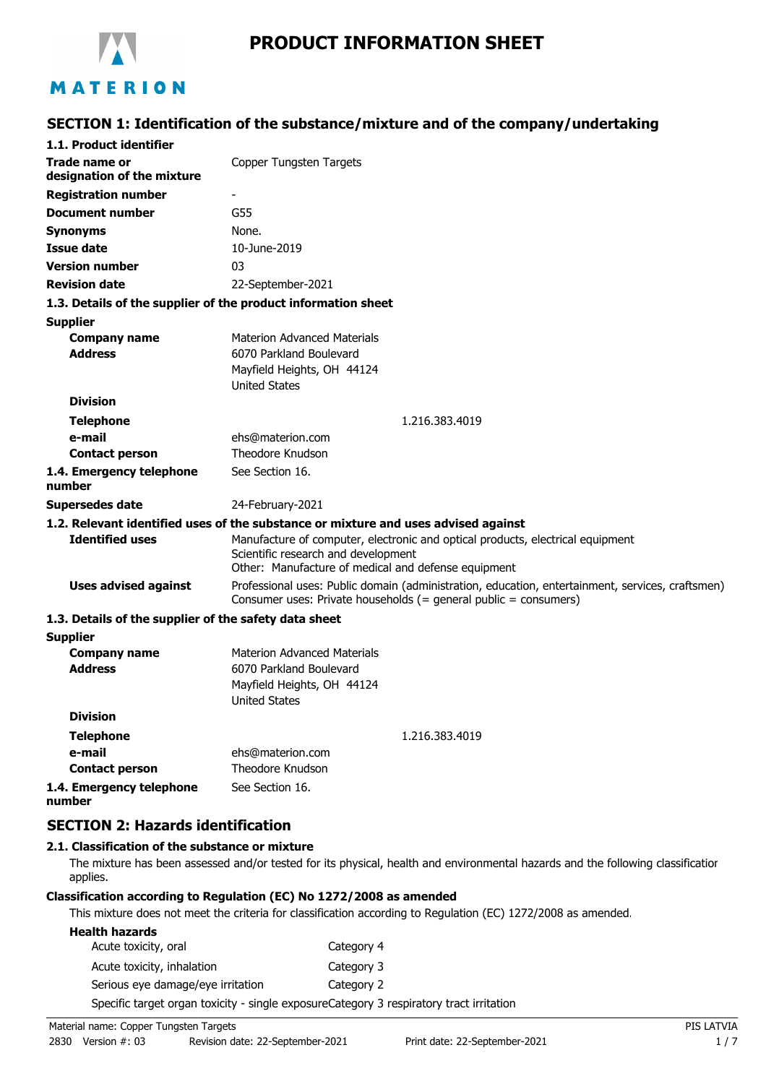

# **PRODUCT INFORMATION SHEET**

## **SECTION 1: Identification of the substance/mixture and of the company/undertaking**

| 1.1. Product identifier                                       |                                                                                                                                                                              |  |
|---------------------------------------------------------------|------------------------------------------------------------------------------------------------------------------------------------------------------------------------------|--|
| Trade name or<br>designation of the mixture                   | Copper Tungsten Targets                                                                                                                                                      |  |
| <b>Registration number</b>                                    |                                                                                                                                                                              |  |
| <b>Document number</b>                                        | G55                                                                                                                                                                          |  |
| <b>Synonyms</b>                                               | None.                                                                                                                                                                        |  |
| <b>Issue date</b>                                             | 10-June-2019                                                                                                                                                                 |  |
| <b>Version number</b>                                         | 03                                                                                                                                                                           |  |
| <b>Revision date</b>                                          | 22-September-2021                                                                                                                                                            |  |
| 1.3. Details of the supplier of the product information sheet |                                                                                                                                                                              |  |
| <b>Supplier</b>                                               |                                                                                                                                                                              |  |
| <b>Company name</b>                                           | <b>Materion Advanced Materials</b>                                                                                                                                           |  |
| <b>Address</b>                                                | 6070 Parkland Boulevard                                                                                                                                                      |  |
|                                                               | Mayfield Heights, OH 44124<br><b>United States</b>                                                                                                                           |  |
| <b>Division</b>                                               |                                                                                                                                                                              |  |
| <b>Telephone</b>                                              | 1.216.383.4019                                                                                                                                                               |  |
| e-mail                                                        | ehs@materion.com                                                                                                                                                             |  |
| <b>Contact person</b>                                         | Theodore Knudson                                                                                                                                                             |  |
| 1.4. Emergency telephone<br>number                            | See Section 16.                                                                                                                                                              |  |
| <b>Supersedes date</b>                                        | 24-February-2021                                                                                                                                                             |  |
|                                                               | 1.2. Relevant identified uses of the substance or mixture and uses advised against                                                                                           |  |
| <b>Identified uses</b>                                        | Manufacture of computer, electronic and optical products, electrical equipment<br>Scientific research and development<br>Other: Manufacture of medical and defense equipment |  |
| <b>Uses advised against</b>                                   | Professional uses: Public domain (administration, education, entertainment, services, craftsmen)<br>Consumer uses: Private households (= general public = consumers)         |  |
| 1.3. Details of the supplier of the safety data sheet         |                                                                                                                                                                              |  |
| <b>Supplier</b>                                               |                                                                                                                                                                              |  |
| <b>Company name</b>                                           | <b>Materion Advanced Materials</b>                                                                                                                                           |  |
| <b>Address</b>                                                | 6070 Parkland Boulevard                                                                                                                                                      |  |
|                                                               | Mayfield Heights, OH 44124<br><b>United States</b>                                                                                                                           |  |
| <b>Division</b>                                               |                                                                                                                                                                              |  |
| <b>Telephone</b>                                              | 1.216.383.4019                                                                                                                                                               |  |
| e-mail                                                        | ehs@materion.com                                                                                                                                                             |  |
| <b>Contact person</b>                                         | Theodore Knudson                                                                                                                                                             |  |
| 1.4. Emergency telephone<br>number                            | See Section 16.                                                                                                                                                              |  |

### **SECTION 2: Hazards identification**

#### **2.1. Classification of the substance or mixture**

The mixture has been assessed and/or tested for its physical, health and environmental hazards and the following classification applies.

### **Classification according to Regulation (EC) No 1272/2008 as amended**

This mixture does not meet the criteria for classification according to Regulation (EC) 1272/2008 as amended.

| <b>Health hazards</b>             |                                                                                         |
|-----------------------------------|-----------------------------------------------------------------------------------------|
| Acute toxicity, oral              | Category 4                                                                              |
| Acute toxicity, inhalation        | Category 3                                                                              |
| Serious eye damage/eye irritation | Category 2                                                                              |
|                                   | Specific target organ toxicity - single exposureCategory 3 respiratory tract irritation |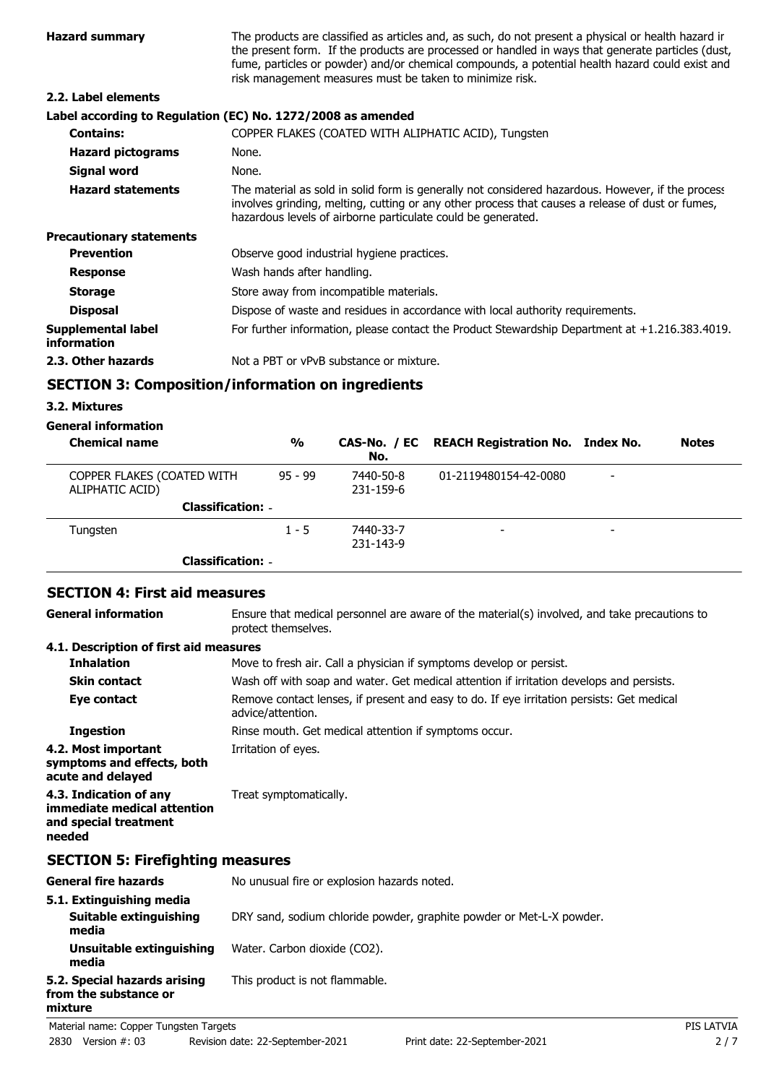| <b>Hazard summary</b>                    | The products are classified as articles and, as such, do not present a physical or health hazard ir<br>the present form. If the products are processed or handled in ways that generate particles (dust,<br>fume, particles or powder) and/or chemical compounds, a potential health hazard could exist and<br>risk management measures must be taken to minimize risk. |
|------------------------------------------|-------------------------------------------------------------------------------------------------------------------------------------------------------------------------------------------------------------------------------------------------------------------------------------------------------------------------------------------------------------------------|
| 2.2. Label elements                      |                                                                                                                                                                                                                                                                                                                                                                         |
|                                          | Label according to Regulation (EC) No. 1272/2008 as amended                                                                                                                                                                                                                                                                                                             |
| <b>Contains:</b>                         | COPPER FLAKES (COATED WITH ALIPHATIC ACID), Tungsten                                                                                                                                                                                                                                                                                                                    |
| <b>Hazard pictograms</b>                 | None.                                                                                                                                                                                                                                                                                                                                                                   |
| Signal word                              | None.                                                                                                                                                                                                                                                                                                                                                                   |
| <b>Hazard statements</b>                 | The material as sold in solid form is generally not considered hazardous. However, if the process<br>involves grinding, melting, cutting or any other process that causes a release of dust or fumes,<br>hazardous levels of airborne particulate could be generated.                                                                                                   |
| <b>Precautionary statements</b>          |                                                                                                                                                                                                                                                                                                                                                                         |
| <b>Prevention</b>                        | Observe good industrial hygiene practices.                                                                                                                                                                                                                                                                                                                              |
| <b>Response</b>                          | Wash hands after handling.                                                                                                                                                                                                                                                                                                                                              |
| <b>Storage</b>                           | Store away from incompatible materials.                                                                                                                                                                                                                                                                                                                                 |
| <b>Disposal</b>                          | Dispose of waste and residues in accordance with local authority requirements.                                                                                                                                                                                                                                                                                          |
| <b>Supplemental label</b><br>information | For further information, please contact the Product Stewardship Department at $+1.216.383.4019$ .                                                                                                                                                                                                                                                                       |
| 2.3. Other hazards                       | Not a PBT or vPvB substance or mixture.                                                                                                                                                                                                                                                                                                                                 |

### **SECTION 3: Composition/information on ingredients**

### **3.2. Mixtures**

**mixture**

# **General information**

| <b>Chemical name</b>                          | $\frac{0}{0}$            | No.                    | CAS-No. / EC REACH Registration No. Index No. | <b>Notes</b> |
|-----------------------------------------------|--------------------------|------------------------|-----------------------------------------------|--------------|
| COPPER FLAKES (COATED WITH<br>ALIPHATIC ACID) | $95 - 99$                | 7440-50-8<br>231-159-6 | 01-2119480154-42-0080                         |              |
|                                               | <b>Classification: -</b> |                        |                                               |              |
| Tungsten                                      | $1 - 5$                  | 7440-33-7<br>231-143-9 | -                                             |              |
|                                               | <b>Classification: -</b> |                        |                                               |              |

# **SECTION 4: First aid measures**

Ensure that medical personnel are aware of the material(s) involved, and take precautions to protect themselves. **General information**

### **4.1. Description of first aid measures**

| <b>Inhalation</b>                                                                        | Move to fresh air. Call a physician if symptoms develop or persist.                                            |  |
|------------------------------------------------------------------------------------------|----------------------------------------------------------------------------------------------------------------|--|
| <b>Skin contact</b>                                                                      | Wash off with soap and water. Get medical attention if irritation develops and persists.                       |  |
| Eye contact                                                                              | Remove contact lenses, if present and easy to do. If eye irritation persists: Get medical<br>advice/attention. |  |
| <b>Ingestion</b>                                                                         | Rinse mouth. Get medical attention if symptoms occur.                                                          |  |
| 4.2. Most important<br>symptoms and effects, both<br>acute and delayed                   | Irritation of eyes.                                                                                            |  |
| 4.3. Indication of any<br>immediate medical attention<br>and special treatment<br>needed | Treat symptomatically.                                                                                         |  |
| <b>SECTION 5: Firefighting measures</b>                                                  |                                                                                                                |  |
| <b>General fire hazards</b>                                                              | No unusual fire or explosion hazards noted.                                                                    |  |
| 5.1. Extinguishing media<br>Suitable extinguishing<br>media                              | DRY sand, sodium chloride powder, graphite powder or Met-L-X powder.                                           |  |
| Unsuitable extinguishing                                                                 | Water. Carbon dioxide (CO2).                                                                                   |  |

**media 5.2. Special hazards arising** This product is not flammable. **from the substance or**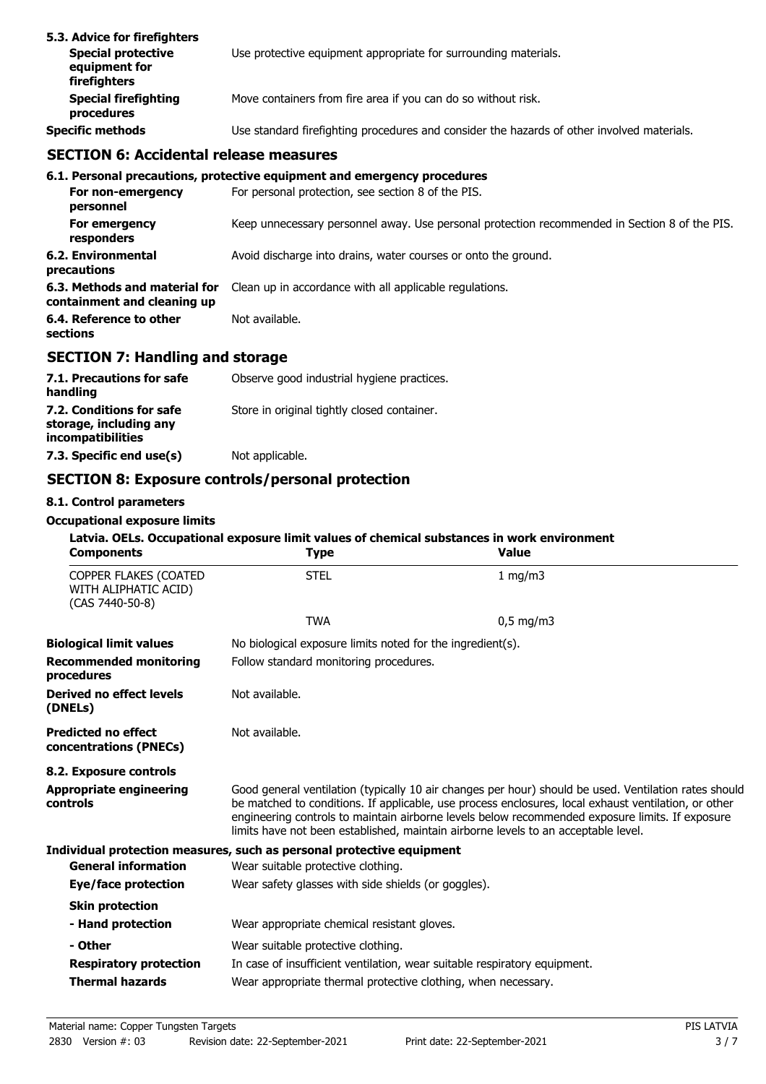| 5.3. Advice for firefighters<br><b>Special protective</b><br>equipment for<br>firefighters | Use protective equipment appropriate for surrounding materials.                            |
|--------------------------------------------------------------------------------------------|--------------------------------------------------------------------------------------------|
| <b>Special firefighting</b><br>procedures                                                  | Move containers from fire area if you can do so without risk.                              |
| <b>Specific methods</b>                                                                    | Use standard firefighting procedures and consider the hazards of other involved materials. |

## **SECTION 6: Accidental release measures**

|                                                              | 6.1. Personal precautions, protective equipment and emergency procedures                      |
|--------------------------------------------------------------|-----------------------------------------------------------------------------------------------|
| For non-emergency<br>personnel                               | For personal protection, see section 8 of the PIS.                                            |
| For emergency<br>responders                                  | Keep unnecessary personnel away. Use personal protection recommended in Section 8 of the PIS. |
| 6.2. Environmental<br>precautions                            | Avoid discharge into drains, water courses or onto the ground.                                |
| 6.3. Methods and material for<br>containment and cleaning up | Clean up in accordance with all applicable regulations.                                       |
| 6.4. Reference to other<br>sections                          | Not available.                                                                                |

# **SECTION 7: Handling and storage**

| 7.1. Precautions for safe<br>handling                                   | Observe good industrial hygiene practices.  |
|-------------------------------------------------------------------------|---------------------------------------------|
| 7.2. Conditions for safe<br>storage, including any<br>incompatibilities | Store in original tightly closed container. |
| 7.3. Specific end use(s)                                                | Not applicable.                             |

# **SECTION 8: Exposure controls/personal protection**

### **8.1. Control parameters**

#### **Occupational exposure limits**

### **Latvia. OELs. Occupational exposure limit values of chemical substances in work environment**

| <b>Components</b>                                                | <b>Type</b>                                                                                                                                                                                                                                                                                                                                                                                            | <b>Value</b> |  |
|------------------------------------------------------------------|--------------------------------------------------------------------------------------------------------------------------------------------------------------------------------------------------------------------------------------------------------------------------------------------------------------------------------------------------------------------------------------------------------|--------------|--|
| COPPER FLAKES (COATED<br>WITH ALIPHATIC ACID)<br>(CAS 7440-50-8) | <b>STEL</b>                                                                                                                                                                                                                                                                                                                                                                                            | 1 mg/m3      |  |
|                                                                  | <b>TWA</b>                                                                                                                                                                                                                                                                                                                                                                                             | $0,5$ mg/m3  |  |
| <b>Biological limit values</b>                                   | No biological exposure limits noted for the ingredient(s).                                                                                                                                                                                                                                                                                                                                             |              |  |
| <b>Recommended monitoring</b><br>procedures                      | Follow standard monitoring procedures.                                                                                                                                                                                                                                                                                                                                                                 |              |  |
| Derived no effect levels<br>(DNELs)                              | Not available.                                                                                                                                                                                                                                                                                                                                                                                         |              |  |
| <b>Predicted no effect</b><br>concentrations (PNECs)             | Not available.                                                                                                                                                                                                                                                                                                                                                                                         |              |  |
| 8.2. Exposure controls                                           |                                                                                                                                                                                                                                                                                                                                                                                                        |              |  |
| Appropriate engineering<br>controls                              | Good general ventilation (typically 10 air changes per hour) should be used. Ventilation rates should<br>be matched to conditions. If applicable, use process enclosures, local exhaust ventilation, or other<br>engineering controls to maintain airborne levels below recommended exposure limits. If exposure<br>limits have not been established, maintain airborne levels to an acceptable level. |              |  |
|                                                                  | Individual protection measures, such as personal protective equipment                                                                                                                                                                                                                                                                                                                                  |              |  |
| <b>General information</b>                                       | Wear suitable protective clothing.                                                                                                                                                                                                                                                                                                                                                                     |              |  |
| Eye/face protection                                              | Wear safety glasses with side shields (or goggles).                                                                                                                                                                                                                                                                                                                                                    |              |  |
| <b>Skin protection</b>                                           |                                                                                                                                                                                                                                                                                                                                                                                                        |              |  |
| - Hand protection                                                | Wear appropriate chemical resistant gloves.                                                                                                                                                                                                                                                                                                                                                            |              |  |
| - Other                                                          | Wear suitable protective clothing.                                                                                                                                                                                                                                                                                                                                                                     |              |  |
| <b>Respiratory protection</b>                                    | In case of insufficient ventilation, wear suitable respiratory equipment.                                                                                                                                                                                                                                                                                                                              |              |  |
| <b>Thermal hazards</b>                                           | Wear appropriate thermal protective clothing, when necessary.                                                                                                                                                                                                                                                                                                                                          |              |  |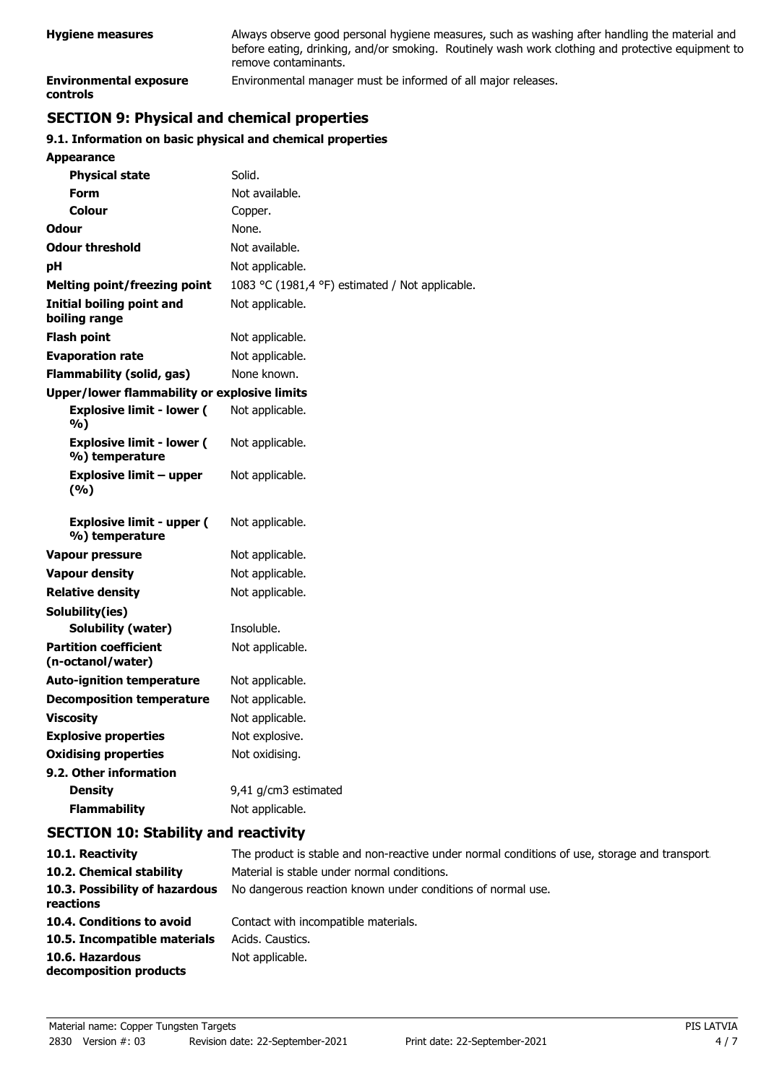| <b>Hygiene measures</b>                   | Always observe good personal hygiene measures, such as washing after handling the material and<br>before eating, drinking, and/or smoking. Routinely wash work clothing and protective equipment to<br>remove contaminants. |
|-------------------------------------------|-----------------------------------------------------------------------------------------------------------------------------------------------------------------------------------------------------------------------------|
| <b>Environmental exposure</b><br>controls | Environmental manager must be informed of all major releases.                                                                                                                                                               |

# **SECTION 9: Physical and chemical properties**

### **9.1. Information on basic physical and chemical properties**

| Appearance                                          |                                                 |
|-----------------------------------------------------|-------------------------------------------------|
| <b>Physical state</b>                               | Solid.                                          |
| Form                                                | Not available.                                  |
| Colour                                              | Copper.                                         |
| Odour                                               | None.                                           |
| <b>Odour threshold</b>                              | Not available.                                  |
| рH                                                  | Not applicable.                                 |
| Melting point/freezing point                        | 1083 °C (1981,4 °F) estimated / Not applicable. |
| Initial boiling point and<br>boiling range          | Not applicable.                                 |
| <b>Flash point</b>                                  | Not applicable.                                 |
| <b>Evaporation rate</b>                             | Not applicable.                                 |
| <b>Flammability (solid, gas)</b>                    | None known.                                     |
| <b>Upper/lower flammability or explosive limits</b> |                                                 |
| <b>Explosive limit - lower (</b><br>%)              | Not applicable.                                 |
| <b>Explosive limit - lower (</b><br>%) temperature  | Not applicable.                                 |
| <b>Explosive limit - upper</b><br>(%)               | Not applicable.                                 |
| <b>Explosive limit - upper (</b><br>%) temperature  | Not applicable.                                 |
| <b>Vapour pressure</b>                              | Not applicable.                                 |
| <b>Vapour density</b>                               | Not applicable.                                 |
| <b>Relative density</b>                             | Not applicable.                                 |
| Solubility(ies)                                     |                                                 |
| Solubility (water)                                  | Insoluble.                                      |
| <b>Partition coefficient</b><br>(n-octanol/water)   | Not applicable.                                 |
| <b>Auto-ignition temperature</b>                    | Not applicable.                                 |
| <b>Decomposition temperature</b>                    | Not applicable.                                 |
| <b>Viscosity</b>                                    | Not applicable.                                 |
| <b>Explosive properties</b>                         | Not explosive.                                  |
| <b>Oxidising properties</b>                         | Not oxidising.                                  |
| 9.2. Other information                              |                                                 |
| <b>Density</b>                                      | 9,41 g/cm3 estimated                            |
| <b>Flammability</b>                                 | Not applicable.                                 |

## **SECTION 10: Stability and reactivity**

| 10.1. Reactivity                            | The product is stable and non-reactive under normal conditions of use, storage and transport. |
|---------------------------------------------|-----------------------------------------------------------------------------------------------|
| 10.2. Chemical stability                    | Material is stable under normal conditions.                                                   |
| 10.3. Possibility of hazardous<br>reactions | No dangerous reaction known under conditions of normal use.                                   |
| 10.4. Conditions to avoid                   | Contact with incompatible materials.                                                          |
| 10.5. Incompatible materials                | Acids, Caustics,                                                                              |
| 10.6. Hazardous<br>decomposition products   | Not applicable.                                                                               |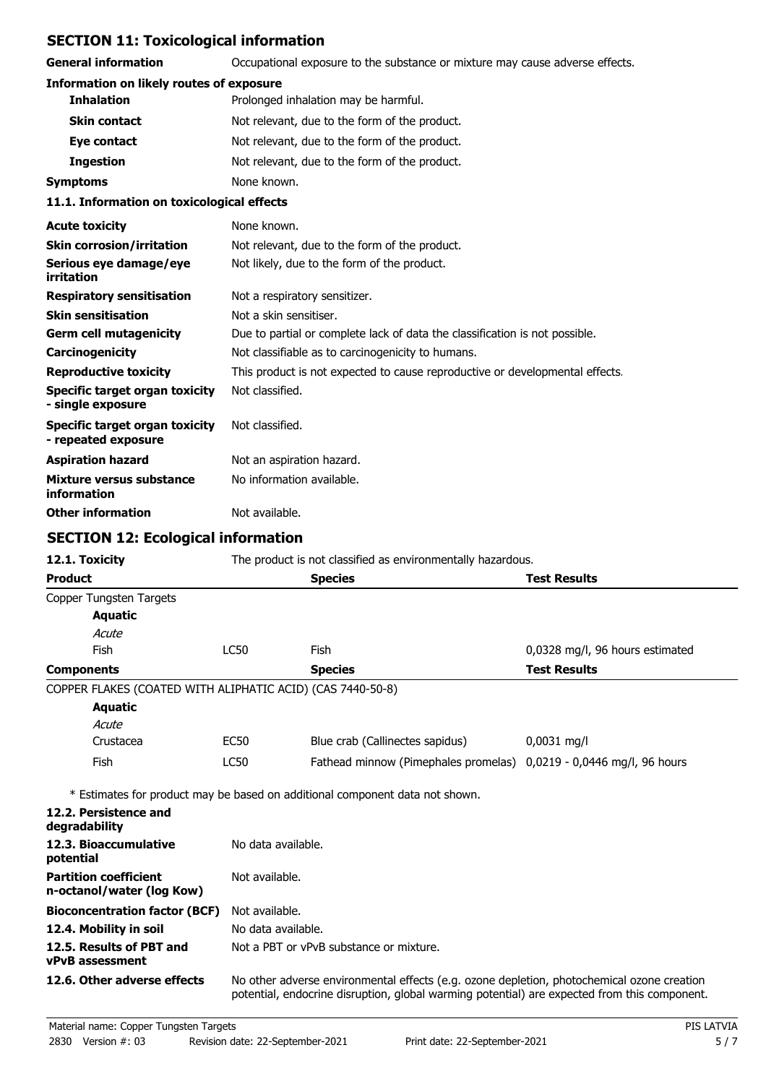# **SECTION 11: Toxicological information**

**General information CCCUPATION** Occupational exposure to the substance or mixture may cause adverse effects.

| <b>Information on likely routes of exposure</b> |  |  |  |  |
|-------------------------------------------------|--|--|--|--|
|-------------------------------------------------|--|--|--|--|

| <b>Inhalation</b>                          | Prolonged inhalation may be harmful.          |
|--------------------------------------------|-----------------------------------------------|
| <b>Skin contact</b>                        | Not relevant, due to the form of the product. |
| Eye contact                                | Not relevant, due to the form of the product. |
| <b>Ingestion</b>                           | Not relevant, due to the form of the product. |
| <b>Symptoms</b>                            | None known.                                   |
| 11.1. Information on toxicological effects |                                               |
| <b>Acute toxicity</b>                      | None known.                                   |
| <b>Skin corrosion/irritation</b>           | Not relevant, due to the form of the product. |
|                                            |                                               |

| Serious eye damage/eye<br>irritation                  | Not likely, due to the form of the product.                                  |
|-------------------------------------------------------|------------------------------------------------------------------------------|
| <b>Respiratory sensitisation</b>                      | Not a respiratory sensitizer.                                                |
| <b>Skin sensitisation</b>                             | Not a skin sensitiser.                                                       |
| <b>Germ cell mutagenicity</b>                         | Due to partial or complete lack of data the classification is not possible.  |
| Carcinogenicity                                       | Not classifiable as to carcinogenicity to humans.                            |
| <b>Reproductive toxicity</b>                          | This product is not expected to cause reproductive or developmental effects. |
| Specific target organ toxicity<br>- single exposure   | Not classified.                                                              |
| Specific target organ toxicity<br>- repeated exposure | Not classified.                                                              |
| <b>Aspiration hazard</b>                              | Not an aspiration hazard.                                                    |
| Mixture versus substance<br>information               | No information available.                                                    |
| <b>Other information</b>                              | Not available.                                                               |

# **SECTION 12: Ecological information**

| 12.1. Toxicity                                             | The product is not classified as environmentally hazardous.                                                                                                                                |                                                                              |                                 |  |
|------------------------------------------------------------|--------------------------------------------------------------------------------------------------------------------------------------------------------------------------------------------|------------------------------------------------------------------------------|---------------------------------|--|
| <b>Product</b>                                             |                                                                                                                                                                                            | <b>Species</b>                                                               | <b>Test Results</b>             |  |
| Copper Tungsten Targets                                    |                                                                                                                                                                                            |                                                                              |                                 |  |
| <b>Aquatic</b>                                             |                                                                                                                                                                                            |                                                                              |                                 |  |
| Acute                                                      |                                                                                                                                                                                            |                                                                              |                                 |  |
| Fish                                                       | <b>LC50</b>                                                                                                                                                                                | Fish                                                                         | 0,0328 mg/l, 96 hours estimated |  |
| <b>Components</b>                                          |                                                                                                                                                                                            | <b>Species</b>                                                               | <b>Test Results</b>             |  |
| COPPER FLAKES (COATED WITH ALIPHATIC ACID) (CAS 7440-50-8) |                                                                                                                                                                                            |                                                                              |                                 |  |
| <b>Aquatic</b>                                             |                                                                                                                                                                                            |                                                                              |                                 |  |
| Acute                                                      |                                                                                                                                                                                            |                                                                              |                                 |  |
| Crustacea                                                  | EC50                                                                                                                                                                                       | Blue crab (Callinectes sapidus)                                              | $0,0031$ mg/l                   |  |
| Fish                                                       | <b>LC50</b>                                                                                                                                                                                | Fathead minnow (Pimephales promelas)                                         | 0,0219 - 0,0446 mg/l, 96 hours  |  |
|                                                            |                                                                                                                                                                                            | * Estimates for product may be based on additional component data not shown. |                                 |  |
| 12.2. Persistence and<br>degradability                     |                                                                                                                                                                                            |                                                                              |                                 |  |
| 12.3. Bioaccumulative<br>potential                         | No data available.                                                                                                                                                                         |                                                                              |                                 |  |
| <b>Partition coefficient</b><br>n-octanol/water (log Kow)  | Not available.                                                                                                                                                                             |                                                                              |                                 |  |
| <b>Bioconcentration factor (BCF)</b>                       | Not available.                                                                                                                                                                             |                                                                              |                                 |  |
| 12.4. Mobility in soil                                     |                                                                                                                                                                                            | No data available.                                                           |                                 |  |
| 12.5. Results of PBT and<br><b>vPvB</b> assessment         |                                                                                                                                                                                            | Not a PBT or vPvB substance or mixture.                                      |                                 |  |
| 12.6. Other adverse effects                                | No other adverse environmental effects (e.g. ozone depletion, photochemical ozone creation<br>potential, endocrine disruption, global warming potential) are expected from this component. |                                                                              |                                 |  |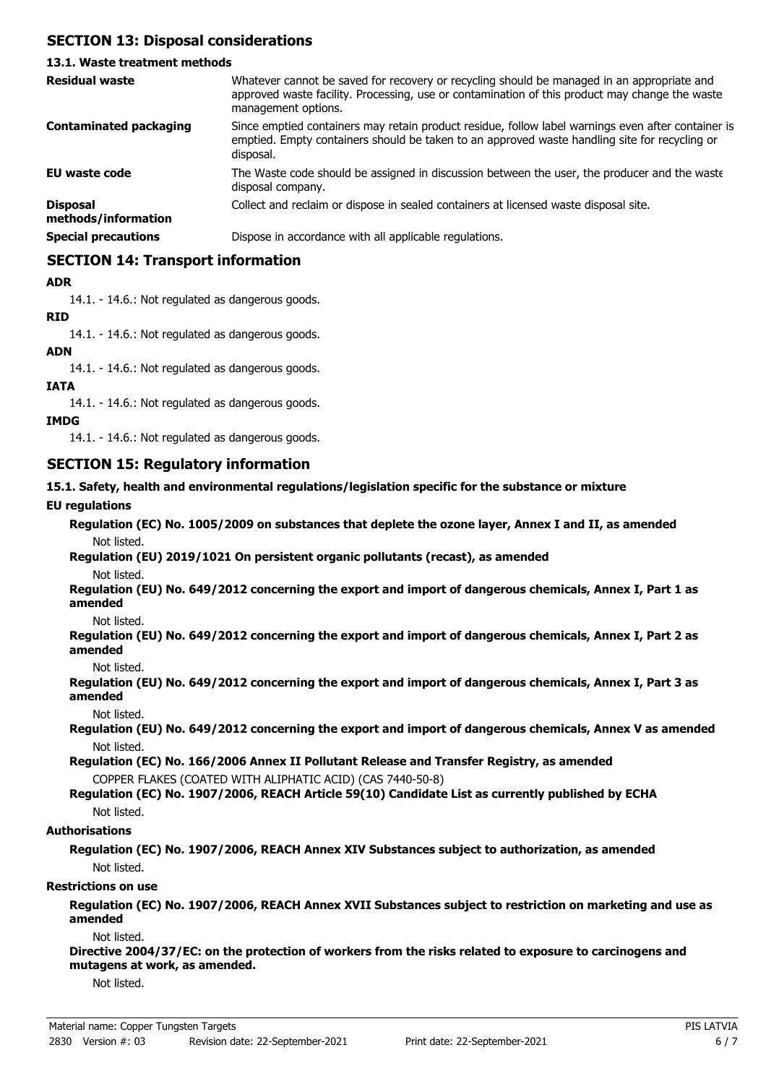## **SECTION 13: Disposal considerations**

### **13.1. Waste treatment methods**

| <b>Residual waste</b>                  | Whatever cannot be saved for recovery or recycling should be managed in an appropriate and<br>approved waste facility. Processing, use or contamination of this product may change the waste<br>management options. |
|----------------------------------------|---------------------------------------------------------------------------------------------------------------------------------------------------------------------------------------------------------------------|
| <b>Contaminated packaging</b>          | Since emptied containers may retain product residue, follow label warnings even after container is<br>emptied. Empty containers should be taken to an approved waste handling site for recycling or<br>disposal.    |
| EU waste code                          | The Waste code should be assigned in discussion between the user, the producer and the waste<br>disposal company.                                                                                                   |
| <b>Disposal</b><br>methods/information | Collect and reclaim or dispose in sealed containers at licensed waste disposal site.                                                                                                                                |
| <b>Special precautions</b>             | Dispose in accordance with all applicable regulations.                                                                                                                                                              |

### **SECTION 14: Transport information**

### **ADR**

14.1. - 14.6.: Not regulated as dangerous goods.

### **RID**

14.1. - 14.6.: Not regulated as dangerous goods.

#### **ADN**

14.1. - 14.6.: Not regulated as dangerous goods.

### **IATA**

14.1. - 14.6.: Not regulated as dangerous goods.

### **IMDG**

14.1. - 14.6.: Not regulated as dangerous goods.

### **SECTION 15: Regulatory information**

#### **15.1. Safety, health and environmental regulations/legislation specific for the substance or mixture**

### **EU regulations**

**Regulation (EC) No. 1005/2009 on substances that deplete the ozone layer, Annex I and II, as amended** Not listed.

# **Regulation (EU) 2019/1021 On persistent organic pollutants (recast), as amended**

Not listed.

**Regulation (EU) No. 649/2012 concerning the export and import of dangerous chemicals, Annex I, Part 1 as amended**

Not listed.

**Regulation (EU) No. 649/2012 concerning the export and import of dangerous chemicals, Annex I, Part 2 as amended**

Not listed.

**Regulation (EU) No. 649/2012 concerning the export and import of dangerous chemicals, Annex I, Part 3 as amended**

Not listed.

**Regulation (EU) No. 649/2012 concerning the export and import of dangerous chemicals, Annex V as amended** Not listed.

**Regulation (EC) No. 166/2006 Annex II Pollutant Release and Transfer Registry, as amended** COPPER FLAKES (COATED WITH ALIPHATIC ACID) (CAS 7440-50-8)

### **Regulation (EC) No. 1907/2006, REACH Article 59(10) Candidate List as currently published by ECHA** Not listed.

#### **Authorisations**

**Regulation (EC) No. 1907/2006, REACH Annex XIV Substances subject to authorization, as amended** Not listed.

#### **Restrictions on use**

**Regulation (EC) No. 1907/2006, REACH Annex XVII Substances subject to restriction on marketing and use as amended**

Not listed.

**Directive 2004/37/EC: on the protection of workers from the risks related to exposure to carcinogens and mutagens at work, as amended.**

Not listed.